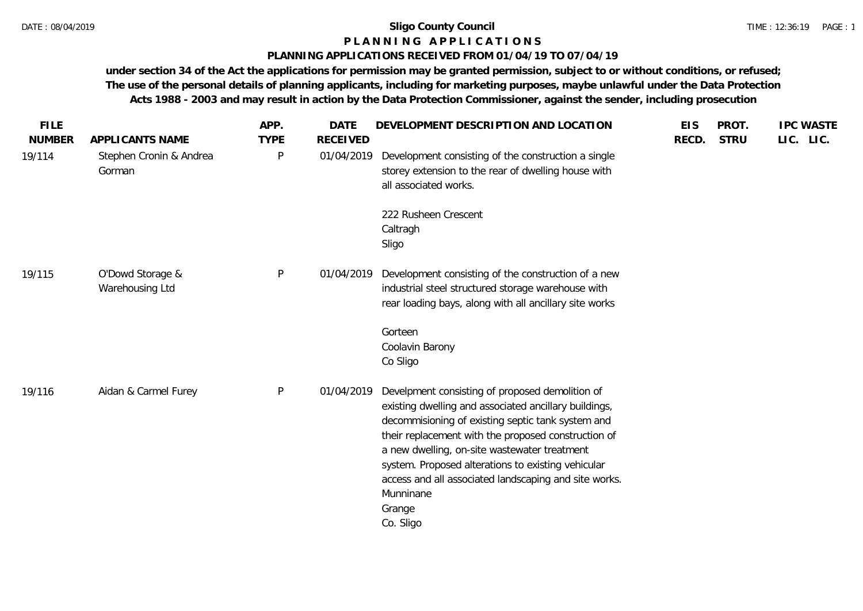# **P L A N N I N G A P P L I C A T I O N S**

## **PLANNING APPLICATIONS RECEIVED FROM 01/04/19 TO 07/04/19**

| <b>FILE</b><br><b>NUMBER</b> | APPLICANTS NAME                     | APP.<br><b>TYPE</b> | <b>DATE</b><br><b>RECEIVED</b> | DEVELOPMENT DESCRIPTION AND LOCATION                                                                                                                                                                                                                                                                                                                                                                                    | <b>EIS</b><br>RECD. | PROT.<br><b>STRU</b> | <b>IPC WASTE</b><br>LIC. LIC. |
|------------------------------|-------------------------------------|---------------------|--------------------------------|-------------------------------------------------------------------------------------------------------------------------------------------------------------------------------------------------------------------------------------------------------------------------------------------------------------------------------------------------------------------------------------------------------------------------|---------------------|----------------------|-------------------------------|
| 19/114                       | Stephen Cronin & Andrea<br>Gorman   | P                   | 01/04/2019                     | Development consisting of the construction a single<br>storey extension to the rear of dwelling house with<br>all associated works.                                                                                                                                                                                                                                                                                     |                     |                      |                               |
|                              |                                     |                     |                                | 222 Rusheen Crescent<br>Caltragh<br>Sligo                                                                                                                                                                                                                                                                                                                                                                               |                     |                      |                               |
| 19/115                       | O'Dowd Storage &<br>Warehousing Ltd | P                   | 01/04/2019                     | Development consisting of the construction of a new<br>industrial steel structured storage warehouse with<br>rear loading bays, along with all ancillary site works                                                                                                                                                                                                                                                     |                     |                      |                               |
|                              |                                     |                     |                                | Gorteen<br>Coolavin Barony<br>Co Sligo                                                                                                                                                                                                                                                                                                                                                                                  |                     |                      |                               |
| 19/116                       | Aidan & Carmel Furey                | P                   | 01/04/2019                     | Develpment consisting of proposed demolition of<br>existing dwelling and associated ancillary buildings,<br>decommisioning of existing septic tank system and<br>their replacement with the proposed construction of<br>a new dwelling, on-site wastewater treatment<br>system. Proposed alterations to existing vehicular<br>access and all associated landscaping and site works.<br>Munninane<br>Grange<br>Co. Sligo |                     |                      |                               |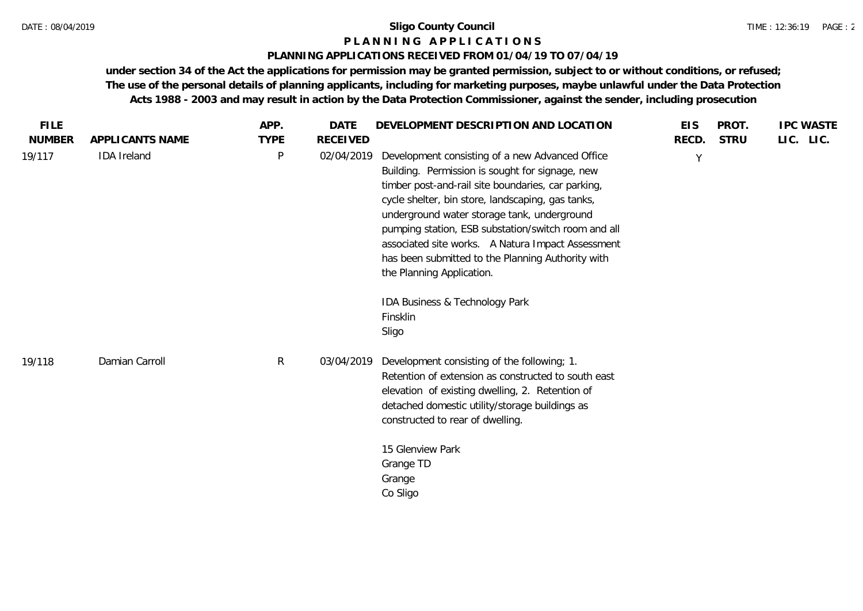### **P L A N N I N G A P P L I C A T I O N S**

### **PLANNING APPLICATIONS RECEIVED FROM 01/04/19 TO 07/04/19**

| <b>FILE</b>   |                    | APP.        | <b>DATE</b>     | DEVELOPMENT DESCRIPTION AND LOCATION                                                                                                                                                                                                                                                                                                                                                                                                                                                                              | <b>EIS</b> | PROT.       | <b>IPC WASTE</b> |
|---------------|--------------------|-------------|-----------------|-------------------------------------------------------------------------------------------------------------------------------------------------------------------------------------------------------------------------------------------------------------------------------------------------------------------------------------------------------------------------------------------------------------------------------------------------------------------------------------------------------------------|------------|-------------|------------------|
| <b>NUMBER</b> | APPLICANTS NAME    | <b>TYPE</b> | <b>RECEIVED</b> |                                                                                                                                                                                                                                                                                                                                                                                                                                                                                                                   | RECD.      | <b>STRU</b> | LIC. LIC.        |
| 19/117        | <b>IDA</b> Ireland | P           | 02/04/2019      | Development consisting of a new Advanced Office<br>Building. Permission is sought for signage, new<br>timber post-and-rail site boundaries, car parking,<br>cycle shelter, bin store, landscaping, gas tanks,<br>underground water storage tank, underground<br>pumping station, ESB substation/switch room and all<br>associated site works. A Natura Impact Assessment<br>has been submitted to the Planning Authority with<br>the Planning Application.<br>IDA Business & Technology Park<br>Finsklin<br>Sligo | Y          |             |                  |
| 19/118        | Damian Carroll     | R           | 03/04/2019      | Development consisting of the following; 1.<br>Retention of extension as constructed to south east<br>elevation of existing dwelling, 2. Retention of<br>detached domestic utility/storage buildings as<br>constructed to rear of dwelling.<br>15 Glenview Park<br>Grange TD<br>Grange<br>Co Sligo                                                                                                                                                                                                                |            |             |                  |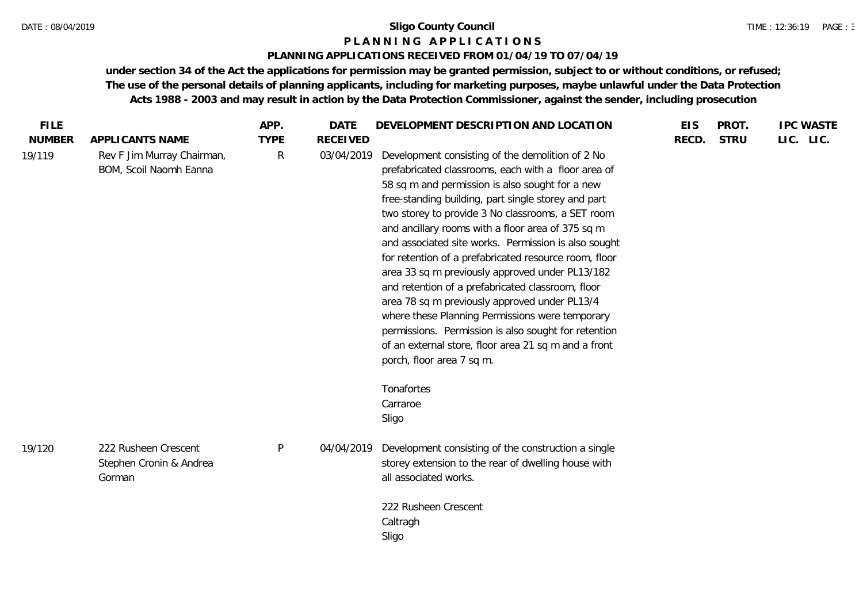### **P L A N N I N G A P P L I C A T I O N S**

### **PLANNING APPLICATIONS RECEIVED FROM 01/04/19 TO 07/04/19**

| <b>FILE</b>             |                                                                         | APP.                        | <b>DATE</b>                   | DEVELOPMENT DESCRIPTION AND LOCATION                                                                                                                                                                                                                                                                                              | <b>EIS</b> | PROT.       | <b>IPC WASTE</b> |
|-------------------------|-------------------------------------------------------------------------|-----------------------------|-------------------------------|-----------------------------------------------------------------------------------------------------------------------------------------------------------------------------------------------------------------------------------------------------------------------------------------------------------------------------------|------------|-------------|------------------|
| <b>NUMBER</b><br>19/119 | APPLICANTS NAME<br>Rev F Jim Murray Chairman,<br>BOM, Scoil Naomh Eanna | <b>TYPE</b><br>$\mathsf{R}$ | <b>RECEIVED</b><br>03/04/2019 | Development consisting of the demolition of 2 No<br>prefabricated classrooms, each with a floor area of<br>58 sq m and permission is also sought for a new                                                                                                                                                                        | RECD.      | <b>STRU</b> | LIC. LIC.        |
|                         |                                                                         |                             |                               | free-standing building, part single storey and part<br>two storey to provide 3 No classrooms, a SET room<br>and ancillary rooms with a floor area of 375 sq m<br>and associated site works. Permission is also sought<br>for retention of a prefabricated resource room, floor<br>area 33 sq m previously approved under PL13/182 |            |             |                  |
|                         |                                                                         |                             |                               | and retention of a prefabricated classroom, floor<br>area 78 sq m previously approved under PL13/4<br>where these Planning Permissions were temporary<br>permissions. Permission is also sought for retention<br>of an external store, floor area 21 sq m and a front<br>porch, floor area 7 sq m.                                |            |             |                  |
|                         |                                                                         |                             |                               | Tonafortes<br>Carraroe<br>Sligo                                                                                                                                                                                                                                                                                                   |            |             |                  |
| 19/120                  | 222 Rusheen Crescent<br>Stephen Cronin & Andrea<br>Gorman               | P                           | 04/04/2019                    | Development consisting of the construction a single<br>storey extension to the rear of dwelling house with<br>all associated works.                                                                                                                                                                                               |            |             |                  |
|                         |                                                                         |                             |                               | 222 Rusheen Crescent<br>Caltragh<br>Sligo                                                                                                                                                                                                                                                                                         |            |             |                  |
|                         |                                                                         |                             |                               |                                                                                                                                                                                                                                                                                                                                   |            |             |                  |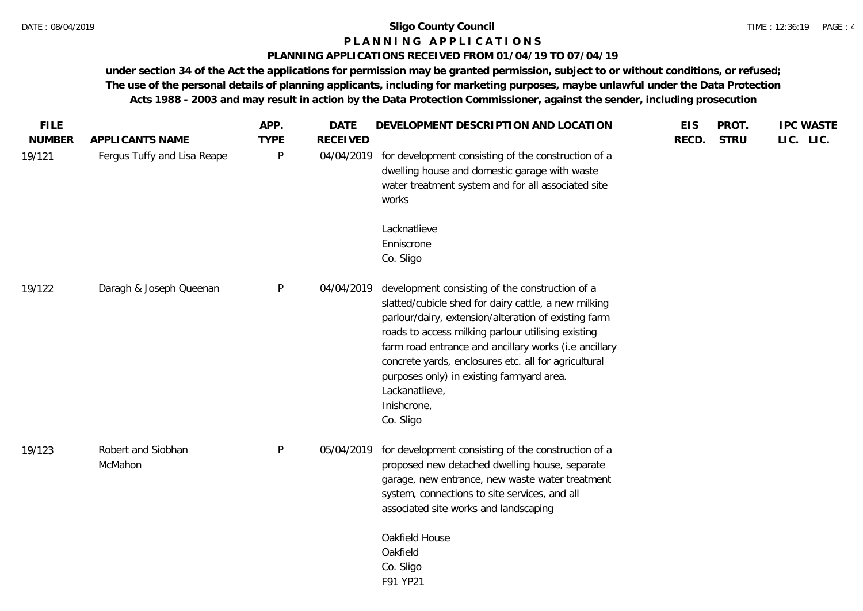## **P L A N N I N G A P P L I C A T I O N S**

### **PLANNING APPLICATIONS RECEIVED FROM 01/04/19 TO 07/04/19**

| <b>FILE</b><br><b>NUMBER</b> | APPLICANTS NAME               | APP.<br><b>TYPE</b> | <b>DATE</b><br><b>RECEIVED</b> | DEVELOPMENT DESCRIPTION AND LOCATION                                                                                                                                                                                                                                                                                                                                                                                              | <b>EIS</b><br>RECD. | PROT.<br><b>STRU</b> | <b>IPC WASTE</b><br>LIC. LIC. |
|------------------------------|-------------------------------|---------------------|--------------------------------|-----------------------------------------------------------------------------------------------------------------------------------------------------------------------------------------------------------------------------------------------------------------------------------------------------------------------------------------------------------------------------------------------------------------------------------|---------------------|----------------------|-------------------------------|
| 19/121                       | Fergus Tuffy and Lisa Reape   | P                   | 04/04/2019                     | for development consisting of the construction of a<br>dwelling house and domestic garage with waste<br>water treatment system and for all associated site<br>works                                                                                                                                                                                                                                                               |                     |                      |                               |
|                              |                               |                     |                                | Lacknatlieve<br>Enniscrone<br>Co. Sligo                                                                                                                                                                                                                                                                                                                                                                                           |                     |                      |                               |
| 19/122                       | Daragh & Joseph Queenan       | P                   | 04/04/2019                     | development consisting of the construction of a<br>slatted/cubicle shed for dairy cattle, a new milking<br>parlour/dairy, extension/alteration of existing farm<br>roads to access milking parlour utilising existing<br>farm road entrance and ancillary works (i.e ancillary<br>concrete yards, enclosures etc. all for agricultural<br>purposes only) in existing farmyard area.<br>Lackanatlieve,<br>Inishcrone,<br>Co. Sligo |                     |                      |                               |
| 19/123                       | Robert and Siobhan<br>McMahon | P                   | 05/04/2019                     | for development consisting of the construction of a<br>proposed new detached dwelling house, separate<br>garage, new entrance, new waste water treatment<br>system, connections to site services, and all<br>associated site works and landscaping                                                                                                                                                                                |                     |                      |                               |
|                              |                               |                     |                                | Oakfield House<br>Oakfield<br>Co. Sligo<br>F91 YP21                                                                                                                                                                                                                                                                                                                                                                               |                     |                      |                               |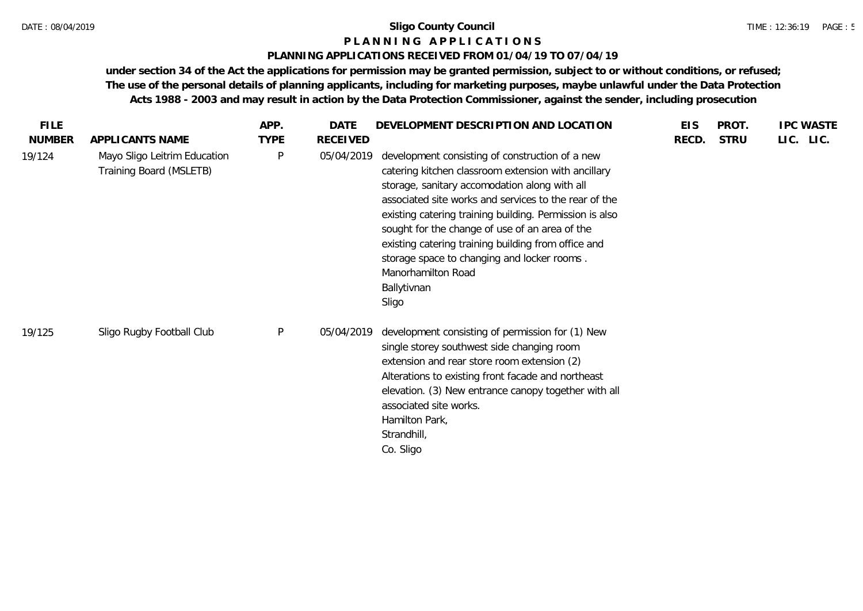### **P L A N N I N G A P P L I C A T I O N S**

### **PLANNING APPLICATIONS RECEIVED FROM 01/04/19 TO 07/04/19**

| <b>FILE</b>   |                                                         | APP.        | <b>DATE</b>     | DEVELOPMENT DESCRIPTION AND LOCATION                                                                                                                                                                                                                                                                                                                                                                                                                                              | <b>EIS</b> | PROT.       | <b>IPC WASTE</b> |
|---------------|---------------------------------------------------------|-------------|-----------------|-----------------------------------------------------------------------------------------------------------------------------------------------------------------------------------------------------------------------------------------------------------------------------------------------------------------------------------------------------------------------------------------------------------------------------------------------------------------------------------|------------|-------------|------------------|
| <b>NUMBER</b> | APPLICANTS NAME                                         | <b>TYPE</b> | <b>RECEIVED</b> |                                                                                                                                                                                                                                                                                                                                                                                                                                                                                   | RECD.      | <b>STRU</b> | LIC. LIC.        |
| 19/124        | Mayo Sligo Leitrim Education<br>Training Board (MSLETB) | P           | 05/04/2019      | development consisting of construction of a new<br>catering kitchen classroom extension with ancillary<br>storage, sanitary accomodation along with all<br>associated site works and services to the rear of the<br>existing catering training building. Permission is also<br>sought for the change of use of an area of the<br>existing catering training building from office and<br>storage space to changing and locker rooms.<br>Manorhamilton Road<br>Ballytivnan<br>Sligo |            |             |                  |
| 19/125        | Sligo Rugby Football Club                               | P           | 05/04/2019      | development consisting of permission for (1) New<br>single storey southwest side changing room<br>extension and rear store room extension (2)<br>Alterations to existing front facade and northeast<br>elevation. (3) New entrance canopy together with all<br>associated site works.<br>Hamilton Park,<br>Strandhill,<br>Co. Sligo                                                                                                                                               |            |             |                  |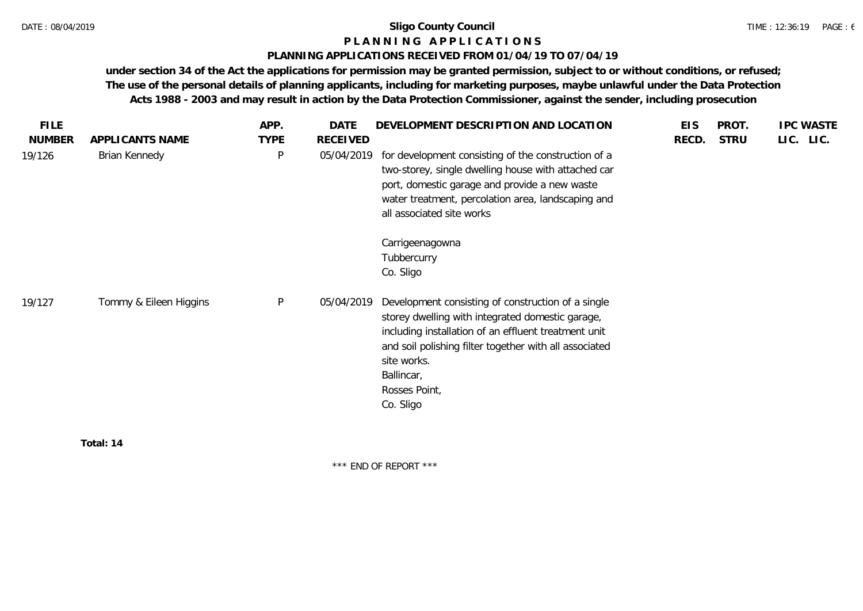# **P L A N N I N G A P P L I C A T I O N S**

## **PLANNING APPLICATIONS RECEIVED FROM 01/04/19 TO 07/04/19**

**under section 34 of the Act the applications for permission may be granted permission, subject to or without conditions, or refused; The use of the personal details of planning applicants, including for marketing purposes, maybe unlawful under the Data Protection Acts 1988 - 2003 and may result in action by the Data Protection Commissioner, against the sender, including prosecution**

**Total: 14**

\*\*\* END OF REPORT \*\*\*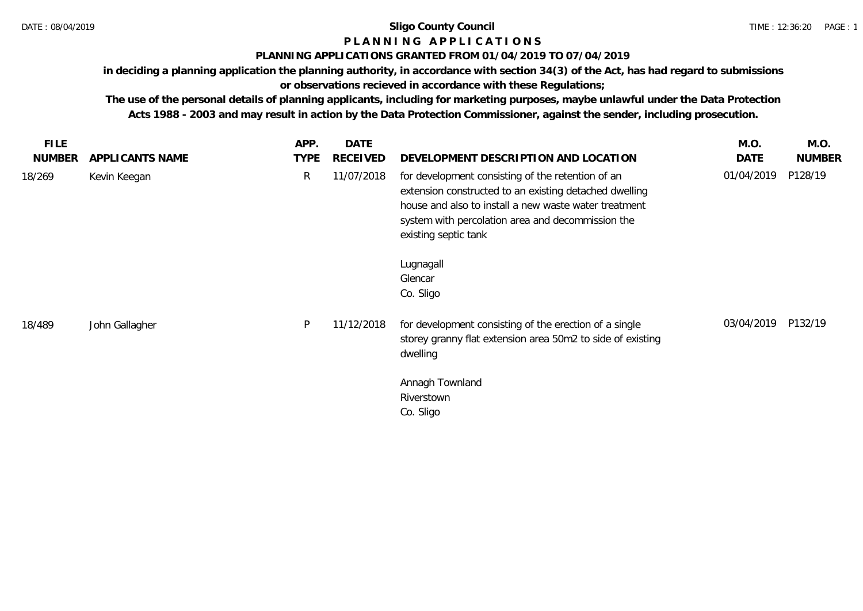# **P L A N N I N G A P P L I C A T I O N S**

# **PLANNING APPLICATIONS GRANTED FROM 01/04/2019 TO 07/04/2019**

**in deciding a planning application the planning authority, in accordance with section 34(3) of the Act, has had regard to submissions or observations recieved in accordance with these Regulations;**

**The use of the personal details of planning applicants, including for marketing purposes, maybe unlawful under the Data Protection Acts 1988 - 2003 and may result in action by the Data Protection Commissioner, against the sender, including prosecution.**

|                 | APP.        | <b>DATE</b>     |                                                                                                                                                                                                                                                   | M.O.       | M.O.          |
|-----------------|-------------|-----------------|---------------------------------------------------------------------------------------------------------------------------------------------------------------------------------------------------------------------------------------------------|------------|---------------|
| APPLICANTS NAME | <b>TYPE</b> | <b>RECEIVED</b> | DEVELOPMENT DESCRIPTION AND LOCATION                                                                                                                                                                                                              | DATE       | <b>NUMBER</b> |
| Kevin Keegan    | R           | 11/07/2018      | for development consisting of the retention of an<br>extension constructed to an existing detached dwelling<br>house and also to install a new waste water treatment<br>system with percolation area and decommission the<br>existing septic tank | 01/04/2019 | P128/19       |
|                 |             |                 | Lugnagall<br>Glencar<br>Co. Sligo                                                                                                                                                                                                                 |            |               |
| John Gallagher  | P           | 11/12/2018      | for development consisting of the erection of a single<br>storey granny flat extension area 50m2 to side of existing<br>dwelling                                                                                                                  | 03/04/2019 | P132/19       |
|                 |             |                 | Annagh Townland<br>Riverstown<br>Co. Sligo                                                                                                                                                                                                        |            |               |
|                 |             |                 |                                                                                                                                                                                                                                                   |            |               |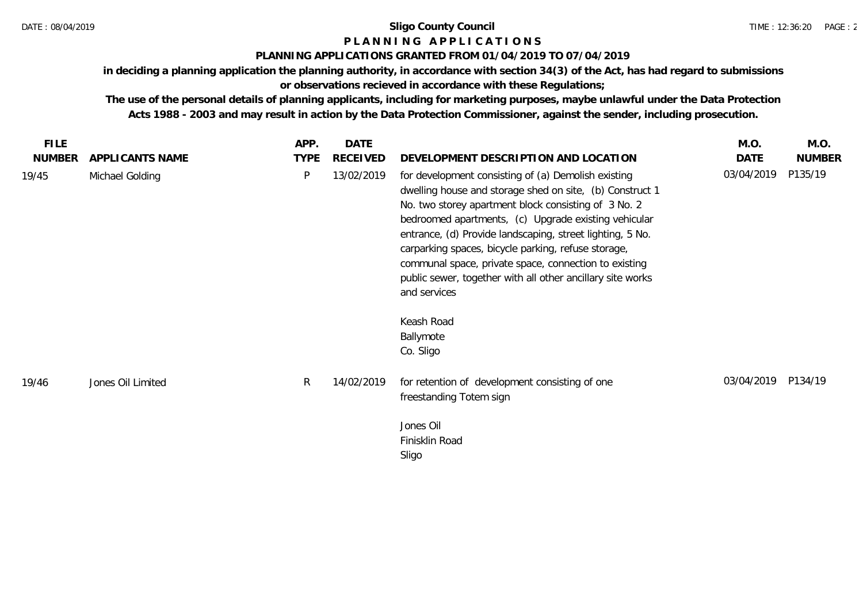# **P L A N N I N G A P P L I C A T I O N S**

# **PLANNING APPLICATIONS GRANTED FROM 01/04/2019 TO 07/04/2019**

**in deciding a planning application the planning authority, in accordance with section 34(3) of the Act, has had regard to submissions or observations recieved in accordance with these Regulations;**

**The use of the personal details of planning applicants, including for marketing purposes, maybe unlawful under the Data Protection Acts 1988 - 2003 and may result in action by the Data Protection Commissioner, against the sender, including prosecution.**

| <b>FILE</b><br><b>NUMBER</b> | APPLICANTS NAME   | APP.<br><b>TYPE</b> | <b>DATE</b><br>RECEIVED | DEVELOPMENT DESCRIPTION AND LOCATION                                                                                                                                                                                                                                                                                                                                                                                                                                                       | M.O.<br>DATE | M.O.<br><b>NUMBER</b> |
|------------------------------|-------------------|---------------------|-------------------------|--------------------------------------------------------------------------------------------------------------------------------------------------------------------------------------------------------------------------------------------------------------------------------------------------------------------------------------------------------------------------------------------------------------------------------------------------------------------------------------------|--------------|-----------------------|
| 19/45                        | Michael Golding   | P                   | 13/02/2019              | for development consisting of (a) Demolish existing<br>dwelling house and storage shed on site, (b) Construct 1<br>No. two storey apartment block consisting of 3 No. 2<br>bedroomed apartments, (c) Upgrade existing vehicular<br>entrance, (d) Provide landscaping, street lighting, 5 No.<br>carparking spaces, bicycle parking, refuse storage,<br>communal space, private space, connection to existing<br>public sewer, together with all other ancillary site works<br>and services | 03/04/2019   | P135/19               |
|                              |                   |                     |                         | Keash Road<br>Ballymote<br>Co. Sligo                                                                                                                                                                                                                                                                                                                                                                                                                                                       |              |                       |
| 19/46                        | Jones Oil Limited | $\mathsf{R}$        | 14/02/2019              | for retention of development consisting of one<br>freestanding Totem sign                                                                                                                                                                                                                                                                                                                                                                                                                  | 03/04/2019   | P134/19               |
|                              |                   |                     |                         | Jones Oil<br>Finisklin Road<br>Sligo                                                                                                                                                                                                                                                                                                                                                                                                                                                       |              |                       |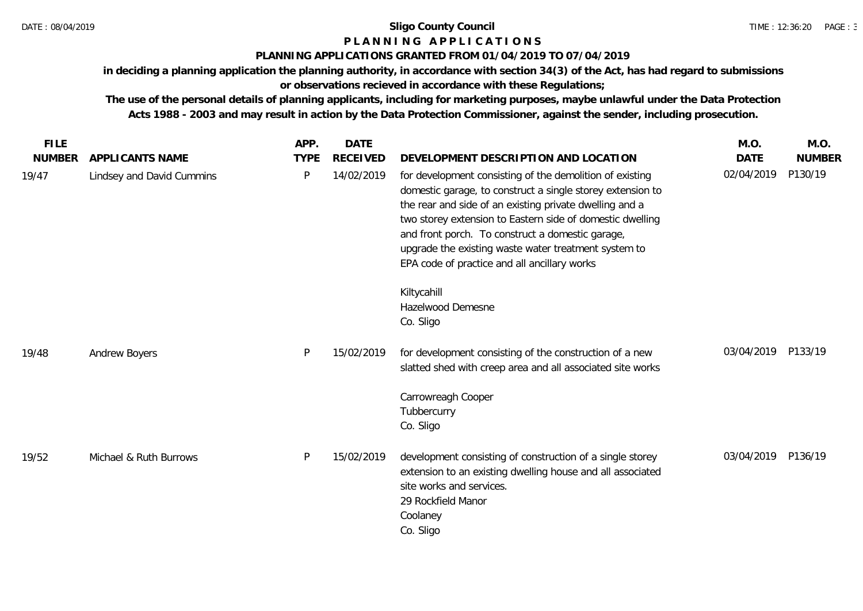# **P L A N N I N G A P P L I C A T I O N S**

# **PLANNING APPLICATIONS GRANTED FROM 01/04/2019 TO 07/04/2019**

**in deciding a planning application the planning authority, in accordance with section 34(3) of the Act, has had regard to submissions or observations recieved in accordance with these Regulations;**

**The use of the personal details of planning applicants, including for marketing purposes, maybe unlawful under the Data Protection Acts 1988 - 2003 and may result in action by the Data Protection Commissioner, against the sender, including prosecution.**

| <b>FILE</b>   |                           | APP.        | <b>DATE</b>     |                                                                                                                                                                                                                                                                                                                                                                                                            | M.O.        | M.O.          |
|---------------|---------------------------|-------------|-----------------|------------------------------------------------------------------------------------------------------------------------------------------------------------------------------------------------------------------------------------------------------------------------------------------------------------------------------------------------------------------------------------------------------------|-------------|---------------|
| <b>NUMBER</b> | APPLICANTS NAME           | <b>TYPE</b> | <b>RECEIVED</b> | DEVELOPMENT DESCRIPTION AND LOCATION                                                                                                                                                                                                                                                                                                                                                                       | <b>DATE</b> | <b>NUMBER</b> |
| 19/47         | Lindsey and David Cummins | P           | 14/02/2019      | for development consisting of the demolition of existing<br>domestic garage, to construct a single storey extension to<br>the rear and side of an existing private dwelling and a<br>two storey extension to Eastern side of domestic dwelling<br>and front porch. To construct a domestic garage,<br>upgrade the existing waste water treatment system to<br>EPA code of practice and all ancillary works | 02/04/2019  | P130/19       |
|               |                           |             |                 | Kiltycahill<br>Hazelwood Demesne<br>Co. Sligo                                                                                                                                                                                                                                                                                                                                                              |             |               |
| 19/48         | Andrew Boyers             | P           | 15/02/2019      | for development consisting of the construction of a new<br>slatted shed with creep area and all associated site works                                                                                                                                                                                                                                                                                      | 03/04/2019  | P133/19       |
|               |                           |             |                 | Carrowreagh Cooper<br>Tubbercurry<br>Co. Sligo                                                                                                                                                                                                                                                                                                                                                             |             |               |
| 19/52         | Michael & Ruth Burrows    | P           | 15/02/2019      | development consisting of construction of a single storey<br>extension to an existing dwelling house and all associated<br>site works and services.<br>29 Rockfield Manor<br>Coolaney<br>Co. Sligo                                                                                                                                                                                                         | 03/04/2019  | P136/19       |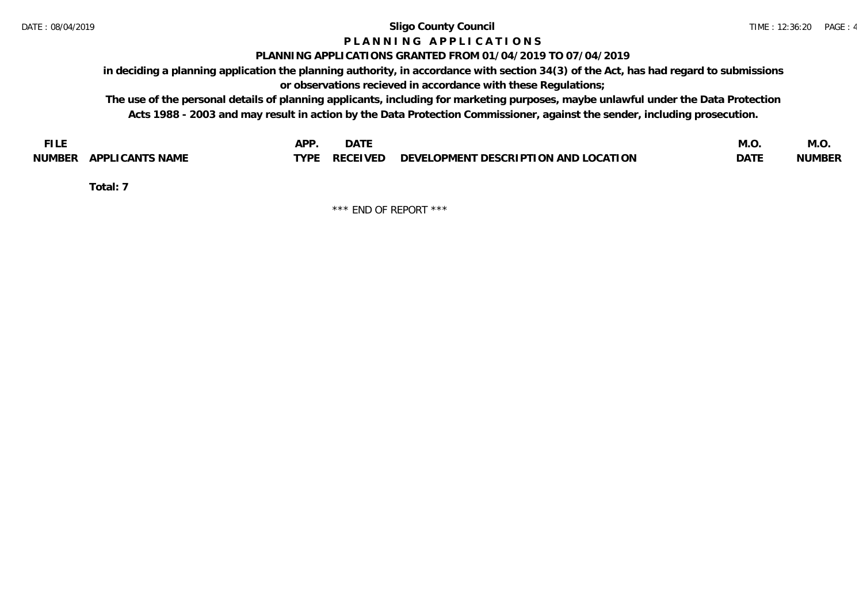# **P L A N N I N G A P P L I C A T I O N S**

## **PLANNING APPLICATIONS GRANTED FROM 01/04/2019 TO 07/04/2019**

**in deciding a planning application the planning authority, in accordance with section 34(3) of the Act, has had regard to submissions or observations recieved in accordance with these Regulations;**

**The use of the personal details of planning applicants, including for marketing purposes, maybe unlawful under the Data Protection Acts 1988 - 2003 and may result in action by the Data Protection Commissioner, against the sender, including prosecution.**

| <b>FILE</b>               | <b>APF</b><br><b>DATE</b>                                             | M.O         | IVI.U         |
|---------------------------|-----------------------------------------------------------------------|-------------|---------------|
| APPLICANTS NAME<br>NUMBER | $\angle$ RECEIVED DEVELOPMENT DESCRIPTION AND LOCATION<br><b>TYPE</b> | <b>DATE</b> | <b>NUMBER</b> |

**Total: 7**

\*\*\* END OF REPORT \*\*\*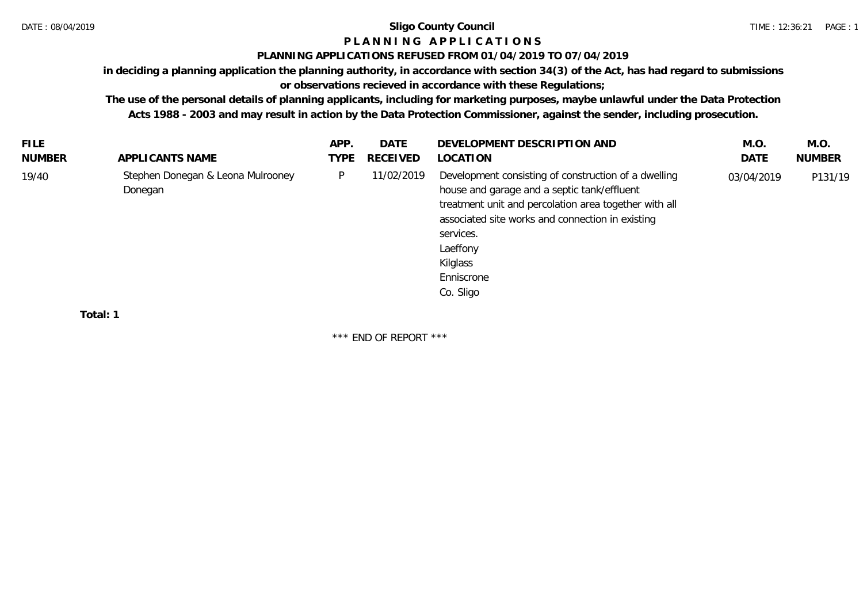# **P L A N N I N G A P P L I C A T I O N S**

## **PLANNING APPLICATIONS REFUSED FROM 01/04/2019 TO 07/04/2019**

**in deciding a planning application the planning authority, in accordance with section 34(3) of the Act, has had regard to submissions or observations recieved in accordance with these Regulations;**

**The use of the personal details of planning applicants, including for marketing purposes, maybe unlawful under the Data Protection** 

**Acts 1988 - 2003 and may result in action by the Data Protection Commissioner, against the sender, including prosecution.**

| <b>FILE</b> |                                              | APP. | DATE            | DEVELOPMENT DESCRIPTION AND                                                                                                                                                                                                                                                      | M.O.       | M.O.          |
|-------------|----------------------------------------------|------|-----------------|----------------------------------------------------------------------------------------------------------------------------------------------------------------------------------------------------------------------------------------------------------------------------------|------------|---------------|
| NUMBER      | APPLICANTS NAME                              | TYPE | <b>RECEIVED</b> | LOCATION                                                                                                                                                                                                                                                                         | DATE       | <b>NUMBER</b> |
| 19/40       | Stephen Donegan & Leona Mulrooney<br>Donegan | P.   | 11/02/2019      | Development consisting of construction of a dwelling<br>house and garage and a septic tank/effluent<br>treatment unit and percolation area together with all<br>associated site works and connection in existing<br>services.<br>Laeffony<br>Kilglass<br>Enniscrone<br>Co. Sligo | 03/04/2019 | P131/19       |
|             |                                              |      |                 |                                                                                                                                                                                                                                                                                  |            |               |

**Total: 1**

\*\*\* END OF REPORT \*\*\*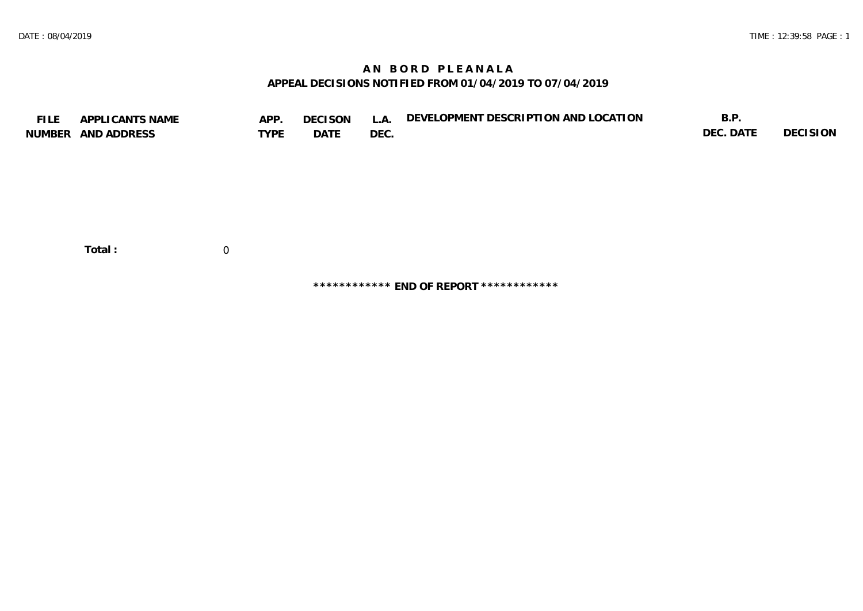## **A N B O R D P L E A N A L A APPEAL DECISIONS NOTIFIED FROM 01/04/2019 TO 07/04/2019**

| <b>FILE</b> | APPLICANTS NAME    | APP.        | <b>DECISON</b> | L.A. | DEVELOPMENT DESCRIPTION AND LOCATION | B.P.      |          |
|-------------|--------------------|-------------|----------------|------|--------------------------------------|-----------|----------|
|             | NUMBER AND ADDRESS | <b>TYPE</b> | DATE           | DEC. |                                      | DEC. DATE | DECISION |
|             |                    |             |                |      |                                      |           |          |
|             |                    |             |                |      |                                      |           |          |
|             |                    |             |                |      |                                      |           |          |
|             |                    |             |                |      |                                      |           |          |
|             |                    |             |                |      |                                      |           |          |
|             |                    |             |                |      |                                      |           |          |
|             |                    |             |                |      |                                      |           |          |
|             |                    |             |                |      |                                      |           |          |
|             | Total:             | $\Omega$    |                |      |                                      |           |          |

**\*\*\*\*\*\*\*\*\*\*\*\* END OF REPORT \*\*\*\*\*\*\*\*\*\*\*\***